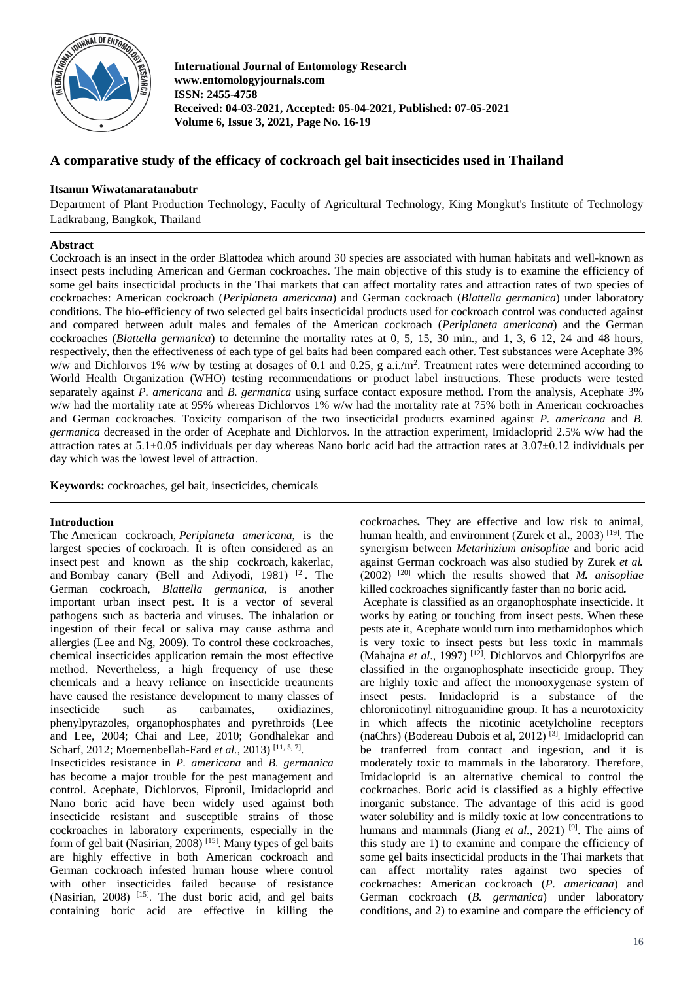

**International Journal of Entomology Research www.entomologyjournals.com ISSN: 2455-4758 Received: 04-03-2021, Accepted: 05-04-2021, Published: 07-05-2021 Volume 6, Issue 3, 2021, Page No. 16-19**

# **A comparative study of the efficacy of cockroach gel bait insecticides used in Thailand**

# **Itsanun Wiwatanaratanabutr**

Department of Plant Production Technology, Faculty of Agricultural Technology, King Mongkut's Institute of Technology Ladkrabang, Bangkok, Thailand

# **Abstract**

Cockroach is an insect in the order Blattodea which around 30 species are associated with human habitats and well-known as insect pests including American and German cockroaches. The main objective of this study is to examine the efficiency of some gel baits insecticidal products in the Thai markets that can affect mortality rates and attraction rates of two species of cockroaches: American cockroach (*Periplaneta americana*) and German cockroach (*Blattella germanica*) under laboratory conditions. The bio-efficiency of two selected gel baits insecticidal products used for cockroach control was conducted against and compared between adult males and females of the American cockroach (*Periplaneta americana*) and the German cockroaches (*Blattella germanica*) to determine the mortality rates at 0, 5, 15, 30 min., and 1, 3, 6 12, 24 and 48 hours, respectively, then the effectiveness of each type of gel baits had been compared each other. Test substances were Acephate 3% w/w and Dichlorvos 1% w/w by testing at dosages of 0.1 and 0.25, g a.i./m<sup>2</sup>. Treatment rates were determined according to World Health Organization (WHO) testing recommendations or product label instructions. These products were tested separately against *P. americana* and *B. germanica* using surface contact exposure method. From the analysis, Acephate 3% w/w had the mortality rate at 95% whereas Dichlorvos 1% w/w had the mortality rate at 75% both in American cockroaches and German cockroaches. Toxicity comparison of the two insecticidal products examined against *P. americana* and *B. germanica* decreased in the order of Acephate and Dichlorvos. In the attraction experiment, Imidacloprid 2.5% w/w had the attraction rates at 5.1±0.05 individuals per day whereas Nano boric acid had the attraction rates at 3.07*±*0.12 individuals per day which was the lowest level of attraction.

**Keywords:** cockroaches, gel bait, insecticides, chemicals

# **Introduction**

The American cockroach, *Periplaneta americana*, is the largest species of cockroach. It is often considered as an insect pest and known as the ship cockroach, kakerlac, and Bombay canary (Bell and Adiyodi, 1981) <sup>[2]</sup>. The German cockroach, *Blattella germanica*, is another important urban insect pest. It is a vector of several pathogens such as bacteria and viruses. The inhalation or ingestion of their fecal or saliva may cause asthma and allergies (Lee and Ng, 2009). To control these cockroaches, chemical insecticides application remain the most effective method. Nevertheless, a high frequency of use these chemicals and a heavy reliance on insecticide treatments have caused the resistance development to many classes of insecticide such as carbamates, oxidiazines, phenylpyrazoles, organophosphates and pyrethroids (Lee and Lee, 2004; Chai and Lee, 2010; Gondhalekar and Scharf, 2012; Moemenbellah-Fard *et al.*, 2013)<sup>[11, 5, 7].</sup> Insecticides resistance in *P. americana* and *B. germanica* has become a major trouble for the pest management and control. Acephate, Dichlorvos, Fipronil, Imidacloprid and Nano boric acid have been widely used against both insecticide resistant and susceptible strains of those cockroaches in laboratory experiments, especially in the form of gel bait (Nasirian, 2008)<sup>[15]</sup>. Many types of gel baits are highly effective in both American cockroach and German cockroach infested human house where control with other insecticides failed because of resistance (Nasirian, 2008)<sup>[15]</sup>. The dust boric acid, and gel baits containing boric acid are effective in killing the

cockroaches*.* They are effective and low risk to animal, human health, and environment (Zurek et al**.**, 2003) [19] . The synergism between *Metarhizium anisopliae* and boric acid against German cockroach was also studied by Zurek *et al.* (2002) [20] which the results showed that *M. anisopliae*  killed cockroaches significantly faster than no boric acid*.*  Acephate is classified as an organophosphate insecticide. It works by eating or touching from insect pests. When these pests ate it, Acephate would turn into methamidophos which is very toxic to insect pests but less toxic in mammals (Mahajna *et al.*, 1997)<sup>[12]</sup>. Dichlorvos and Chlorpyrifos are classified in the organophosphate insecticide group. They are highly toxic and affect the monooxygenase system of insect pests. Imidacloprid is a substance of the chloronicotinyl nitroguanidine group. It has a neurotoxicity in which affects the nicotinic acetylcholine receptors (naChrs) (Bodereau Dubois et al, 2012) [3] *.* Imidacloprid can be tranferred from contact and ingestion, and it is moderately toxic to mammals in the laboratory. Therefore, Imidacloprid is an alternative chemical to control the cockroaches. Boric acid is classified as a highly effective inorganic substance. The advantage of this acid is good water solubility and is mildly toxic at low concentrations to humans and mammals (Jiang *et al.*, 2021)<sup>[9]</sup>. The aims of this study are 1) to examine and compare the efficiency of some gel baits insecticidal products in the Thai markets that can affect mortality rates against two species of cockroaches: American cockroach (*P. americana*) and German cockroach (*B. germanica*) under laboratory conditions, and 2) to examine and compare the efficiency of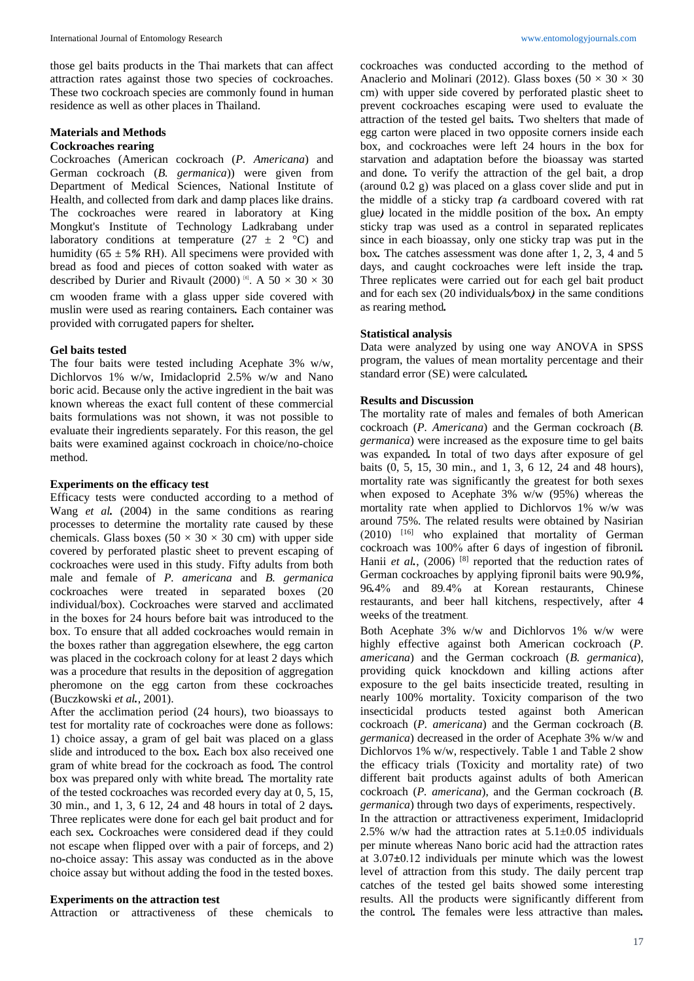those gel baits products in the Thai markets that can affect attraction rates against those two species of cockroaches. These two cockroach species are commonly found in human residence as well as other places in Thailand.

#### **Materials and Methods Cockroaches rearing**

Cockroaches (American cockroach (*P. Americana*) and German cockroach (*B. germanica*)) were given from Department of Medical Sciences, National Institute of Health, and collected from dark and damp places like drains. The cockroaches were reared in laboratory at King Mongkut's Institute of Technology Ladkrabang under laboratory conditions at temperature  $(27 \pm 2 \degree C)$  and humidity (65 ± 5*%* RH). All specimens were provided with bread as food and pieces of cotton soaked with water as described by Durier and Rivault (2000)<sup>[6]</sup>. A  $50 \times 30 \times 30$ cm wooden frame with a glass upper side covered with muslin were used as rearing containers*.* Each container was provided with corrugated papers for shelter*.* 

## **Gel baits tested**

The four baits were tested including Acephate 3% w/w, Dichlorvos 1% w/w, Imidacloprid 2.5% w/w and Nano boric acid. Because only the active ingredient in the bait was known whereas the exact full content of these commercial baits formulations was not shown, it was not possible to evaluate their ingredients separately. For this reason, the gel baits were examined against cockroach in choice/no-choice method.

#### **Experiments on the efficacy test**

Efficacy tests were conducted according to a method of Wang *et al.* (2004) in the same conditions as rearing processes to determine the mortality rate caused by these chemicals. Glass boxes (50  $\times$  30  $\times$  30 cm) with upper side covered by perforated plastic sheet to prevent escaping of cockroaches were used in this study. Fifty adults from both male and female of *P. americana* and *B. germanica*  cockroaches were treated in separated boxes (20 individual/box). Cockroaches were starved and acclimated in the boxes for 24 hours before bait was introduced to the box. To ensure that all added cockroaches would remain in the boxes rather than aggregation elsewhere, the egg carton was placed in the cockroach colony for at least 2 days which was a procedure that results in the deposition of aggregation pheromone on the egg carton from these cockroaches (Buczkowski *et al.*, 2001).

After the acclimation period (24 hours), two bioassays to test for mortality rate of cockroaches were done as follows: 1) choice assay, a gram of gel bait was placed on a glass slide and introduced to the box*.* Each box also received one gram of white bread for the cockroach as food*.* The control box was prepared only with white bread*.* The mortality rate of the tested cockroaches was recorded every day at 0, 5, 15, 30 min., and 1, 3, 6 12, 24 and 48 hours in total of 2 days*.*  Three replicates were done for each gel bait product and for each sex*.* Cockroaches were considered dead if they could not escape when flipped over with a pair of forceps, and 2) no*-*choice assay: This assay was conducted as in the above choice assay but without adding the food in the tested boxes.

#### **Experiments on the attraction test**

Attraction or attractiveness of these chemicals to

cockroaches was conducted according to the method of Anaclerio and Molinari (2012). Glass boxes (50  $\times$  30  $\times$  30 cm) with upper side covered by perforated plastic sheet to prevent cockroaches escaping were used to evaluate the attraction of the tested gel baits*.* Two shelters that made of egg carton were placed in two opposite corners inside each box, and cockroaches were left 24 hours in the box for starvation and adaptation before the bioassay was started and done*.* To verify the attraction of the gel bait, a drop (around 0*.*2 g) was placed on a glass cover slide and put in the middle of a sticky trap *(*a cardboard covered with rat glue*)* located in the middle position of the box*.* An empty sticky trap was used as a control in separated replicates since in each bioassay, only one sticky trap was put in the box*.* The catches assessment was done after 1, 2, 3, 4 and 5 days, and caught cockroaches were left inside the trap*.*  Three replicates were carried out for each gel bait product and for each sex (20 individuals*/*box*)* in the same conditions as rearing method*.*

### **Statistical analysis**

Data were analyzed by using one way ANOVA in SPSS program, the values of mean mortality percentage and their standard error (SE) were calculated*.*

### **Results and Discussion**

The mortality rate of males and females of both American cockroach (*P. Americana*) and the German cockroach (*B. germanica*) were increased as the exposure time to gel baits was expanded*.* In total of two days after exposure of gel baits (0, 5, 15, 30 min., and 1, 3, 6 12, 24 and 48 hours), mortality rate was significantly the greatest for both sexes when exposed to Acephate  $3\%$  w/w (95%) whereas the mortality rate when applied to Dichlorvos 1% w/w was around 75%. The related results were obtained by Nasirian (2010) [16] who explained that mortality of German cockroach was 100% after 6 days of ingestion of fibronil*.*  Hanii *et al.*, (2006)<sup>[8]</sup> reported that the reduction rates of German cockroaches by applying fipronil baits were 90*.*9*%*, 96*.*4% and 89*.*4% at Korean restaurants, Chinese restaurants, and beer hall kitchens, respectively, after 4 weeks of the treatment**.**

Both Acephate 3% w/w and Dichlorvos 1% w/w were highly effective against both American cockroach (*P. americana*) and the German cockroach (*B. germanica*), providing quick knockdown and killing actions after exposure to the gel baits insecticide treated, resulting in nearly 100% mortality. Toxicity comparison of the two insecticidal products tested against both American cockroach (*P. americana*) and the German cockroach (*B. germanica*) decreased in the order of Acephate 3% w/w and Dichlorvos 1% w/w, respectively. Table 1 and Table 2 show the efficacy trials (Toxicity and mortality rate) of two different bait products against adults of both American cockroach (*P. americana*), and the German cockroach (*B. germanica*) through two days of experiments, respectively. In the attraction or attractiveness experiment, Imidacloprid

2.5% w/w had the attraction rates at  $5.1\pm0.05$  individuals per minute whereas Nano boric acid had the attraction rates at 3.07*±*0.12 individuals per minute which was the lowest level of attraction from this study. The daily percent trap catches of the tested gel baits showed some interesting results. All the products were significantly different from the control*.* The females were less attractive than males*.*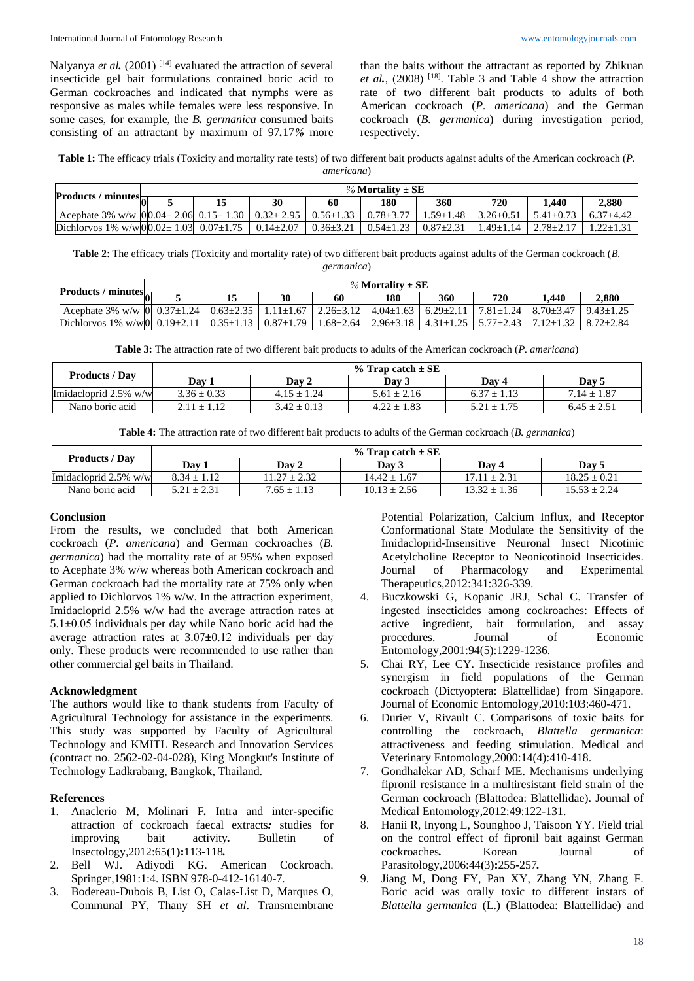Nalyanya *et al.* (2001)<sup>[14]</sup> evaluated the attraction of several insecticide gel bait formulations contained boric acid to German cockroaches and indicated that nymphs were as responsive as males while females were less responsive. In some cases, for example, the *B. germanica* consumed baits consisting of an attractant by maximum of 97*.*17*%* more

than the baits without the attractant as reported by Zhikuan *et al.*,  $(2008)$ <sup>[18]</sup>. Table 3 and Table 4 show the attraction rate of two different bait products to adults of both American cockroach (*P. americana*) and the German cockroach (*B. germanica*) during investigation period, respectively.

**Table 1:** The efficacy trials (Toxicity and mortality rate tests) of two different bait products against adults of the American cockroach (*P. americana*)

|                                                                                                                | % Mortality $\pm$ SE |  |    |                 |                 |                 |                 |                 |               |
|----------------------------------------------------------------------------------------------------------------|----------------------|--|----|-----------------|-----------------|-----------------|-----------------|-----------------|---------------|
| Products / minutes $\overline{\mathbf{a}^{-}}$                                                                 |                      |  | 30 | 60              | 180             | 360             | 720             | .440            | 2.880         |
| Acephate 3% w/w   0   0 0 0 $\pm$ 2.06   0.15 $\pm$ 1.30   0.32 $\pm$ 2.95   0.56 $\pm$ 1.33   0.78 $\pm$ 3.77 |                      |  |    |                 |                 | $1.59 + 1.48$   | $3.26 \pm 0.51$ | $5.41 + 0.73$   | $6.37 + 4.42$ |
| Dichlorvos 1% w/w $00.02 \pm 1.03$ 0.07 $\pm 1.75$ 0.14 $\pm 2.07$                                             |                      |  |    | $0.36 \pm 3.21$ | $0.54 \pm 1.23$ | $0.87 \pm 2.31$ | $-49+1.14$      | $2.78 \pm 2.17$ | 1.22±1.31     |

**Table 2**: The efficacy trials (Toxicity and mortality rate) of two different bait products against adults of the German cockroach (*B. germanica*)

| Products / minutes $\frac{1}{2}$                                                                                                        | % Mortality $\pm$ SE |  |    |    |     |     |     |       |       |
|-----------------------------------------------------------------------------------------------------------------------------------------|----------------------|--|----|----|-----|-----|-----|-------|-------|
|                                                                                                                                         |                      |  | 30 | 60 | 180 | 360 | 720 | 1.440 | 2.880 |
| Acephate 3% w/w $(0)$ 0.37±1.24 $(0.63\pm2.35)$ 1.11±1.67 $(2.26\pm3.12)$ 4.04±1.63 $(6.29\pm2.11)$ 7.81±1.24 $(8.70\pm3.47)$ 9.43±1.25 |                      |  |    |    |     |     |     |       |       |
| Dichlorvos 1% w/w 0  0.19±2.11   0.35±1.13   0.87±1.79   1.68±2.64   2.96±3.18   4.31±1.25   5.77±2.43   7.12±1.32   8.72±2.84          |                      |  |    |    |     |     |     |       |       |

**Table 3:** The attraction rate of two different bait products to adults of the American cockroach (*P. americana*)

| <b>Products / Day</b>    | $%$ Trap catch $\pm$ SE |                 |                 |                 |                 |  |  |  |  |
|--------------------------|-------------------------|-----------------|-----------------|-----------------|-----------------|--|--|--|--|
|                          | Dav 1                   | Day 2           | Dav 3           | Dav 4           | Day 5           |  |  |  |  |
| Imidacloprid $2.5\%$ w/w | $3.36 \pm 0.33$         | $4.15 \pm 1.24$ | $5.61 \pm 2.16$ | $6.37 \pm 1.13$ | $7.14 \pm 1.87$ |  |  |  |  |
| Nano boric acid          | $2.11 \pm 1.12$         | $3.42 \pm 0.13$ | $4.22 \pm 1.83$ | $5.21 \pm 1.75$ | $6.45 \pm 2.5$  |  |  |  |  |

**Table 4:** The attraction rate of two different bait products to adults of the German cockroach (*B. germanica*)

| <b>Products / Day</b>    | % Trap catch $\pm$ SE |                  |                  |                  |                  |  |  |  |  |
|--------------------------|-----------------------|------------------|------------------|------------------|------------------|--|--|--|--|
|                          | Dav 1                 | Day 2            | Dav 3            | Dav 4            | Day 5            |  |  |  |  |
| Imidacloprid $2.5\%$ w/w | $8.34 \pm 1.12$       | $11.27 \pm 2.32$ | $14.42 \pm 1.67$ | $17.11 \pm 2.31$ | $18.25 + 0.21$   |  |  |  |  |
| Nano boric acid          | $5.21 \pm 2.31$       | $7.65 \pm 1.13$  | $10.13 \pm 2.56$ | $13.32 \pm 1.36$ | $15.53 \pm 2.24$ |  |  |  |  |

# **Conclusion**

From the results, we concluded that both American cockroach (*P. americana*) and German cockroaches (*B. germanica*) had the mortality rate of at 95% when exposed to Acephate 3% w/w whereas both American cockroach and German cockroach had the mortality rate at 75% only when applied to Dichlorvos 1% w/w. In the attraction experiment, Imidacloprid 2.5% w/w had the average attraction rates at 5.1**±**0.05 individuals per day while Nano boric acid had the average attraction rates at 3.07*±*0.12 individuals per day only. These products were recommended to use rather than other commercial gel baits in Thailand.

# **Acknowledgment**

The authors would like to thank students from Faculty of Agricultural Technology for assistance in the experiments. This study was supported by Faculty of Agricultural Technology and KMITL Research and Innovation Services (contract no. 2562-02-04-028), King Mongkut's Institute of Technology Ladkrabang, Bangkok, Thailand.

# **References**

- 1. Anaclerio M, Molinari F*.* Intra and inter*-*specific attraction of cockroach faecal extracts*:* studies for improving bait activity*.* Bulletin of Insectology,2012:65**(**1**):**113*-*118*.*
- 2. Bell WJ. Adiyodi KG. American Cockroach. Springer,1981:1:4. ISBN 978-0-412-16140-7.
- 3. Bodereau-Dubois B, List O, Calas-List D, Marques O, Communal PY, Thany SH *et al*. Transmembrane

Potential Polarization, Calcium Influx, and Receptor Conformational State Modulate the Sensitivity of the Imidacloprid-Insensitive Neuronal Insect Nicotinic Acetylcholine Receptor to Neonicotinoid Insecticides. Journal of Pharmacology and Experimental Therapeutics,2012:341:326-339.

- 4. Buczkowski G, Kopanic JRJ, Schal C. Transfer of ingested insecticides among cockroaches: Effects of active ingredient, bait formulation, and assay procedures. Journal of Economic Entomology,2001:94(5):1229-1236.
- 5. Chai RY, Lee CY. Insecticide resistance profiles and synergism in field populations of the German cockroach (Dictyoptera: Blattellidae) from Singapore. Journal of Economic Entomology,2010:103:460-471.
- 6. Durier V, Rivault C. Comparisons of toxic baits for controlling the cockroach, *Blattella germanica*: attractiveness and feeding stimulation. Medical and Veterinary Entomology,2000:14(4):410-418.
- 7. Gondhalekar AD, Scharf ME. Mechanisms underlying fipronil resistance in a multiresistant field strain of the German cockroach (Blattodea: Blattellidae). Journal of Medical Entomology,2012:49:122-131.
- 8. Hanii R, Inyong L, Sounghoo J, Taisoon YY. Field trial on the control effect of fipronil bait against German cockroaches*.* Korean Journal of Parasitology,2006:44**(**3**):**255*-*257*.*
- 9. Jiang M, Dong FY, Pan XY, Zhang YN, Zhang F. Boric acid was orally toxic to different instars of *Blattella germanica* (L.) (Blattodea: Blattellidae) and